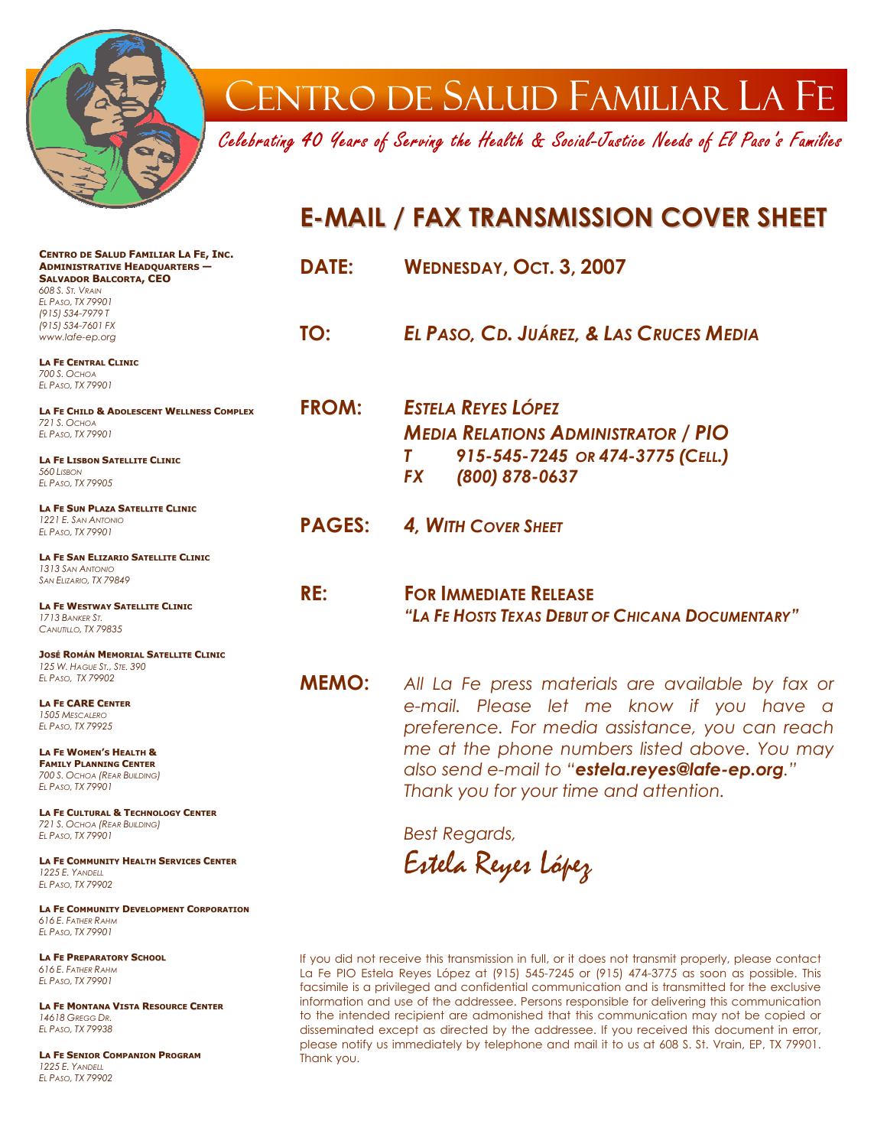

## CENTRO DE SALUD FAMILIAR LA FE

Celebrating 40 Years of Serving the Health & Social-Justice Needs of El Paso's Families

### **E-MAIL / FAX TRANSMISSION COVER SHEET**

| CENTRO DE SALUD FAMILIAR LA FE, INC.<br><b>ADMINISTRATIVE HEADQUARTERS -</b><br><b>SALVADOR BALCORTA, CEO</b><br>608 S. ST. VRAIN<br>EL PASO, TX 79901<br>(915) 534-7979 T | <b>DATE:</b>  | WEDNESDAY, OCT. 3, 2007                           |
|----------------------------------------------------------------------------------------------------------------------------------------------------------------------------|---------------|---------------------------------------------------|
| (915) 534-7601 FX                                                                                                                                                          | TO:           | EL PASO, CD. JUÁREZ, & LAS CRUCES MEDIA           |
| www.lafe-ep.org                                                                                                                                                            |               |                                                   |
| <b>LA FE CENTRAL CLINIC</b>                                                                                                                                                |               |                                                   |
| 700 S. Осно <i>д</i><br>EL PASO, TX 79901                                                                                                                                  |               |                                                   |
|                                                                                                                                                                            | <b>FROM:</b>  | <b>ESTELA REYES LÓPEZ</b>                         |
| LA FE CHILD & ADOLESCENT WELLNESS COMPLEX<br>721 S. OCHOA                                                                                                                  |               |                                                   |
| EL PASO, TX 79901                                                                                                                                                          |               | <b>MEDIA RELATIONS ADMINISTRATOR / PIO</b>        |
| <b>LA FE LISBON SATELLITE CLINIC</b>                                                                                                                                       |               | 915-545-7245 OR 474-3775 (CELL.)                  |
| 560 LISBON                                                                                                                                                                 |               |                                                   |
| EL PASO, TX 79905                                                                                                                                                          |               | (800) 878-0637<br><b>FX</b>                       |
| LA FE SUN PLAZA SATELLITE CLINIC                                                                                                                                           |               |                                                   |
| 1221 E. SAN ANTONIO                                                                                                                                                        | <b>PAGES:</b> | 4. WITH COVER SHEET                               |
| EL PASO, TX 79901                                                                                                                                                          |               |                                                   |
| <b>LA FE SAN ELIZARIO SATELLITE CLINIC</b>                                                                                                                                 |               |                                                   |
| 1313 SAN ANTONIO<br>SAN ELIZARIO, TX 79849                                                                                                                                 |               |                                                   |
|                                                                                                                                                                            | RE:           | <b>FOR IMMEDIATE RELEASE</b>                      |
| <b>LA FE WESTWAY SATELLITE CLINIC</b>                                                                                                                                      |               |                                                   |
| 1713 BANKER ST.                                                                                                                                                            |               | "LA FE HOSTS TEXAS DEBUT OF CHICANA DOCUMENTARY"  |
| CANUTILLO, TX 79835                                                                                                                                                        |               |                                                   |
| <b>JOSÉ ROMÁN MEMORIAL SATELLITE CLINIC</b>                                                                                                                                |               |                                                   |
| 125 W. HAGUE ST., STE. 390                                                                                                                                                 |               |                                                   |
| EL PASO, TX 79902                                                                                                                                                          | <b>MEMO:</b>  | All La Fe press materials are available by fax or |
| <b>LA FE CARE CENTER</b>                                                                                                                                                   |               | e-mail. Please let me know if you have a          |
| 1505 MESCALERO                                                                                                                                                             |               |                                                   |
| EL PASO, TX 79925                                                                                                                                                          |               | preference. For media assistance, you can reach   |
| LA FE WOMEN'S HEALTH &                                                                                                                                                     |               | me at the phone numbers listed above. You may     |
| <b>FAMILY PLANNING CENTER</b>                                                                                                                                              |               |                                                   |
| 700 S. OCHOA (REAR BUILDING)                                                                                                                                               |               | also send e-mail to "estela.reyes@lafe-ep.org."   |
| EL PASO, TX 79901                                                                                                                                                          |               | Thank you for your time and attention.            |
| <b>LA FE CULTURAL &amp; TECHNOLOGY CENTER</b>                                                                                                                              |               |                                                   |
| 721 S. OCHOA (REAR BUILDING)                                                                                                                                               |               |                                                   |
| EL PASO, TX 79901                                                                                                                                                          |               | <b>Best Regards,</b>                              |
|                                                                                                                                                                            |               | $\mathcal{L}$ and $\mathcal{L}$                   |

**LA FE COMMUNITY HEALTH SERVICES CENTER** *1225 E. YANDELL EL PASO, TX 79902*

**LA FE COMMUNITY DEVELOPMENT CORPORATION** *616 E. FATHER RAHM EL PASO, TX 79901* 

**LA FE PREPARATORY SCHOOL** *616 E. FATHER RAHM EL PASO, TX 79901* 

**LA FE MONTANA VISTA RESOURCE CENTER** *14618 GREGG DR. EL PASO, TX 79938* 

**LA FE SENIOR COMPANION PROGRAM** *1225 E. YANDELL EL PASO, TX 79902* 

Estela Reyes López

If you did not receive this transmission in full, or it does not transmit properly, please contact La Fe PIO Estela Reyes López at (915) 545-7245 or (915) 474-377*5* as soon as possible. This facsimile is a privileged and confidential communication and is transmitted for the exclusive information and use of the addressee. Persons responsible for delivering this communication to the intended recipient are admonished that this communication may not be copied or disseminated except as directed by the addressee. If you received this document in error, please notify us immediately by telephone and mail it to us at 608 S. St. Vrain, EP, TX 79901. Thank you.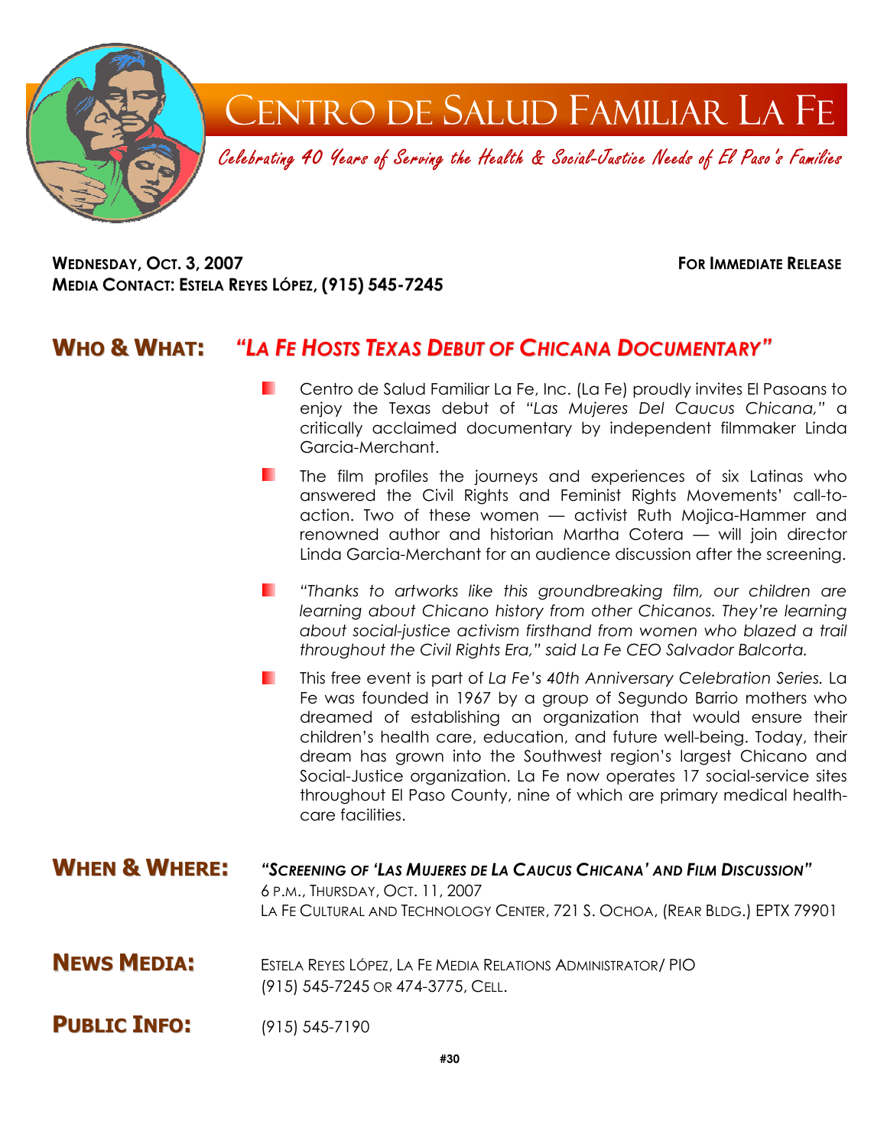

**WEDNESDAY, OCT. 3, 2007 FOR IMMEDIATE RELEASE MEDIA CONTACT: ESTELA REYES LÓPEZ, (915) 545-7245** 

#### **WHO & WHAT:** *"LA FE HOSTS TEXAS DEBUT OF CHICANA DOCUMENTARY"*

- Centro de Salud Familiar La Fe, Inc. (La Fe) proudly invites El Pasoans to ш enjoy the Texas debut of *"Las Mujeres Del Caucus Chicana,"* a critically acclaimed documentary by independent filmmaker Linda Garcia-Merchant.
- The film profiles the journeys and experiences of six Latinas who answered the Civil Rights and Feminist Rights Movements' call-toaction. Two of these women — activist Ruth Mojica-Hammer and renowned author and historian Martha Cotera — will join director Linda Garcia-Merchant for an audience discussion after the screening.
- **The Company** *"Thanks to artworks like this groundbreaking film, our children are learning about Chicano history from other Chicanos. They're learning about social-justice activism firsthand from women who blazed a trail throughout the Civil Rights Era," said La Fe CEO Salvador Balcorta.*
- This free event is part of *La Fe's 40th Anniversary Celebration Series.* La . . Fe was founded in 1967 by a group of Segundo Barrio mothers who dreamed of establishing an organization that would ensure their children's health care, education, and future well-being. Today, their dream has grown into the Southwest region's largest Chicano and Social-Justice organization. La Fe now operates 17 social-service sites throughout El Paso County, nine of which are primary medical healthcare facilities.
- **WHEN & WHERE:** *"SCREENING OF 'LAS MUJERES DE LA CAUCUS CHICANA' AND FILM DISCUSSION"* 6 P.M., THURSDAY, OCT. 11, 2007 LA FE CULTURAL AND TECHNOLOGY CENTER, 721 S. OCHOA, (REAR BLDG.) EPTX 79901
- **NEWS MEDIA:** ESTELA REYES LÓPEZ, LA FE MEDIA RELATIONS ADMINISTRATOR/ PIO (915) 545-7245 OR 474-3775, CELL.
- **PUBLIC INFO:** (915) 545-7190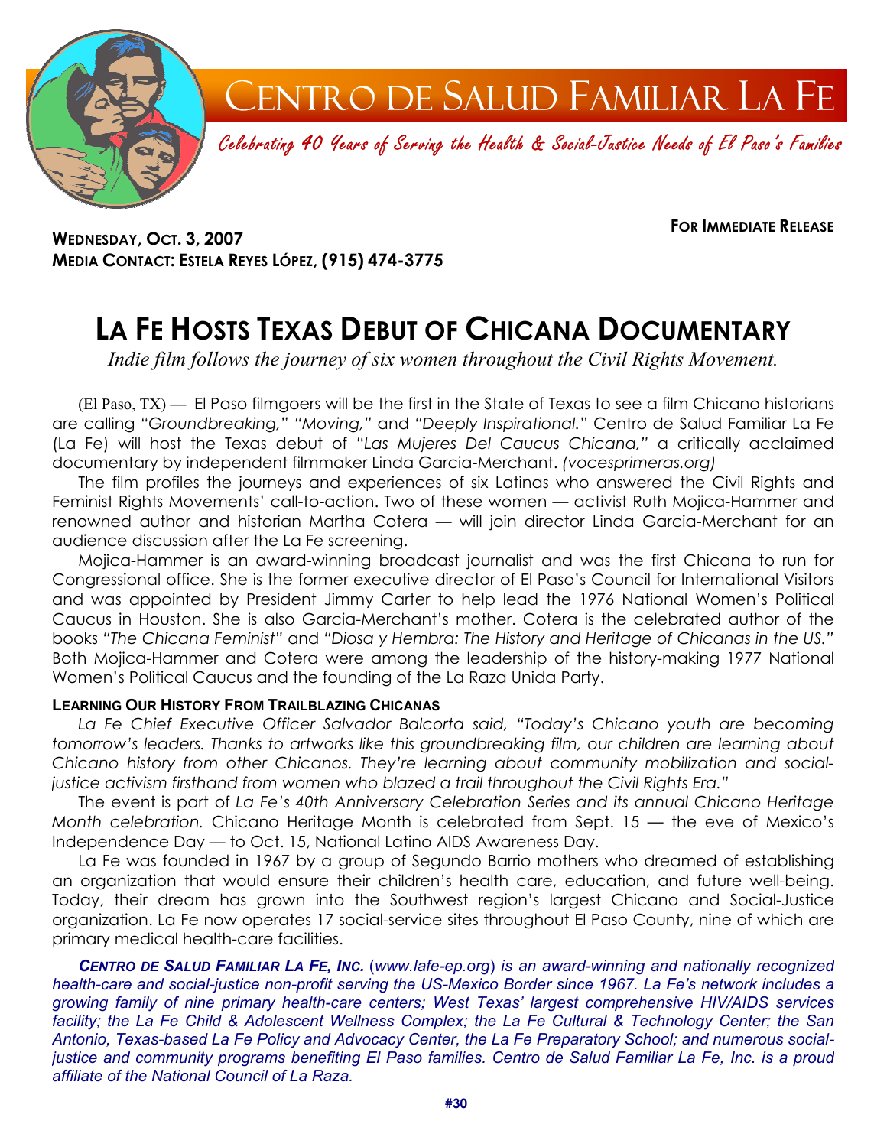

CENTRO DE SALUD FAMILIAR LA FE

Celebrating 40 Years of Serving the Health & Social-Justice Needs of El Paso's Families

**WEDNESDAY, OCT. 3, 2007 MEDIA CONTACT: ESTELA REYES LÓPEZ, (915) 474-3775**  **FOR IMMEDIATE RELEASE**

## **LA FE HOSTS TEXAS DEBUT OF CHICANA DOCUMENTARY**

*Indie film follows the journey of six women throughout the Civil Rights Movement.*

(El Paso, TX) — El Paso filmgoers will be the first in the State of Texas to see a film Chicano historians are calling *"Groundbreaking," "Moving,"* and *"Deeply Inspirational."* Centro de Salud Familiar La Fe (La Fe) will host the Texas debut of "*Las Mujeres Del Caucus Chicana,"* a critically acclaimed documentary by independent filmmaker Linda Garcia-Merchant. *(vocesprimeras.org)*

The film profiles the journeys and experiences of six Latinas who answered the Civil Rights and Feminist Rights Movements' call-to-action. Two of these women — activist Ruth Mojica-Hammer and renowned author and historian Martha Cotera — will join director Linda Garcia-Merchant for an audience discussion after the La Fe screening.

Mojica-Hammer is an award-winning broadcast journalist and was the first Chicana to run for Congressional office. She is the former executive director of El Paso's Council for International Visitors and was appointed by President Jimmy Carter to help lead the 1976 National Women's Political Caucus in Houston. She is also Garcia-Merchant's mother. Cotera is the celebrated author of the books *"The Chicana Feminist"* and *"Diosa y Hembra: The History and Heritage of Chicanas in the US."* Both Mojica-Hammer and Cotera were among the leadership of the history-making 1977 National Women's Political Caucus and the founding of the La Raza Unida Party.

#### **LEARNING OUR HISTORY FROM TRAILBLAZING CHICANAS**

*La Fe Chief Executive Officer Salvador Balcorta said, "Today's Chicano youth are becoming tomorrow's leaders. Thanks to artworks like this groundbreaking film, our children are learning about Chicano history from other Chicanos. They're learning about community mobilization and socialjustice activism firsthand from women who blazed a trail throughout the Civil Rights Era."*

The event is part of *La Fe's 40th Anniversary Celebration Series and its annual Chicano Heritage Month celebration.* Chicano Heritage Month is celebrated from Sept. 15 — the eve of Mexico's Independence Day — to Oct. 15, National Latino AIDS Awareness Day.

La Fe was founded in 1967 by a group of Segundo Barrio mothers who dreamed of establishing an organization that would ensure their children's health care, education, and future well-being. Today, their dream has grown into the Southwest region's largest Chicano and Social-Justice organization. La Fe now operates 17 social-service sites throughout El Paso County, nine of which are primary medical health-care facilities.

*CENTRO DE SALUD FAMILIAR LA FE, INC.* (*www.lafe-ep.org*) *is an award-winning and nationally recognized health-care and social-justice non-profit serving the US-Mexico Border since 1967. La Fe's network includes a growing family of nine primary health-care centers; West Texas' largest comprehensive HIV/AIDS services facility; the La Fe Child & Adolescent Wellness Complex; the La Fe Cultural & Technology Center; the San Antonio, Texas-based La Fe Policy and Advocacy Center, the La Fe Preparatory School; and numerous socialjustice and community programs benefiting El Paso families. Centro de Salud Familiar La Fe, Inc. is a proud affiliate of the National Council of La Raza.*